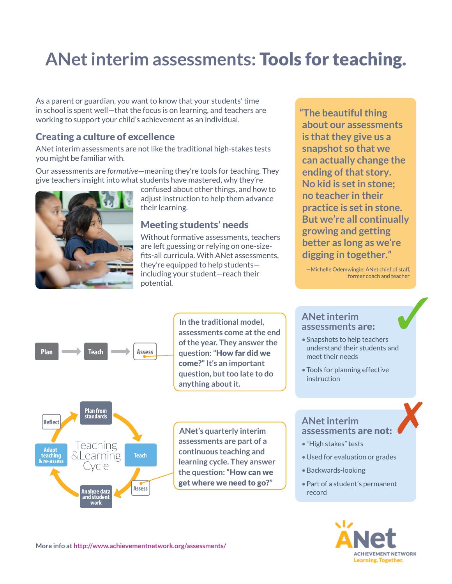# **ANet interim assessments:** Tools for teaching.

As a parent or guardian, you want to know that your students' time in school is spent well—that the focus is on learning, and teachers are working to support your child's achievement as an individual.

### Creating a culture of excellence

ANet interim assessments are not like the traditional high-stakes tests you might be familiar with.

Our assessments are *formative*—meaning they're tools for teaching. They give teachers insight into what students have mastered, why they're



confused about other things, and how to adjust instruction to help them advance their learning.

### Meeting students' needs

Without formative assessments, teachers are left guessing or relying on one-sizefits-all curricula. With ANet assessments, they're equipped to help students including your student—reach their potential.

**"The beautiful thing about our assessments is that they give us a snapshot so that we can actually change the ending of that story. No kid is set in stone; no teacher in their practice is set in stone. But we're all continually growing and getting better as long as we're digging in together."**

—Michelle Odemwingie, ANet chief of staff, former coach and teacher



**Plan from**<br>standards

Teaching

**&Learning** 

Analyze data<br>and student work

ivcle

**Reflect** 

**Adapt** 

& re-asses

**assessments come at the end**  In the traditional model,<br>assessments come at the end<br>**ANet interimal property assessments are: of the year. They answer the question: "**How far did we come?**" It's an important question, but too late to do anything about it.**

**ANet's quarterly interim assessments are part of a continuous teaching and learning cycle. They answer the question: "**How can we get where we need to go?**"**

#### **ANet interim assessments** are:

- Snapshots to help teachers understand their students and meet their needs
- Tools for planning effective instruction

#### **ANet interim assessments** are not:

- • "High stakes" tests
- Used for evaluation or grades
- • Backwards-looking
- Part of a student's permanent record



✗

**More info at <http://www.achievementnetwork.org/assessments/>**

**Teach** 

Assess